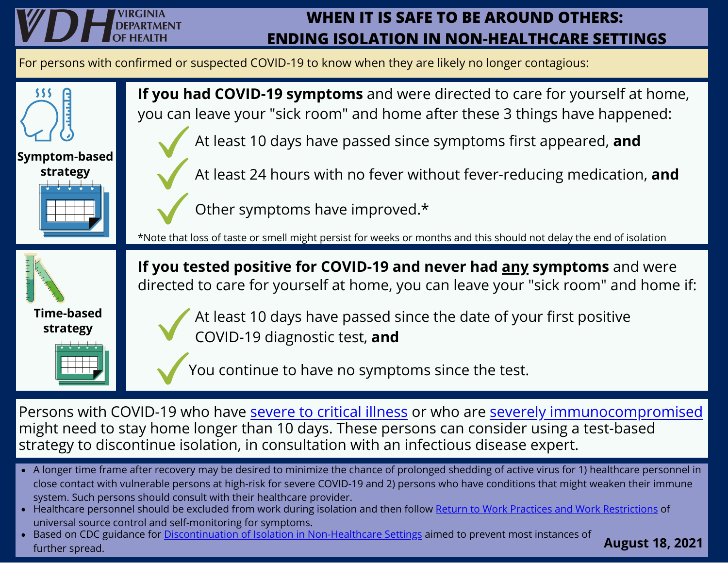## **WHEN IT IS SAFE TO BE AROUND OTHERS: ENDING ISOLATION IN NON-HEALTHCARE SETTINGS**

For persons with confirmed or suspected COVID-19 to know when they are likely no longer contagious:



Persons with COVID-19 who have [severe](https://www.cdc.gov/coronavirus/2019-ncov/hcp/return-to-work.html#definitions) to critical illness or who are severely [immunocompromised](https://www.cdc.gov/coronavirus/2019-ncov/hcp/return-to-work.html#severely-immunocompromised) might need to stay home longer than 10 days. These persons can consider using a test-based strategy to discontinue isolation, in consultation with an infectious disease expert.

- A longer time frame after recovery may be desired to minimize the chance of prolonged shedding of active virus for 1) healthcare personnel in close contact with vulnerable persons at high-risk for severe COVID-19 and 2) persons who have conditions that might weaken their immune system. Such persons should consult with their healthcare provider.
- Healthcare personnel should be excluded from work during isolation and then follow Return to Work Practices and Work [Restrictions](https://www.cdc.gov/coronavirus/2019-ncov/hcp/return-to-work.html#practices-restrictions) of universal source control and self-monitoring for symptoms.
- Based on CDC guidance for Discontinuation of Isolation in [Non-Healthcare](https://www.cdc.gov/coronavirus/2019-ncov/hcp/disposition-in-home-patients.html) Settings aimed to prevent most instances of further spread.

**August 18, 2021**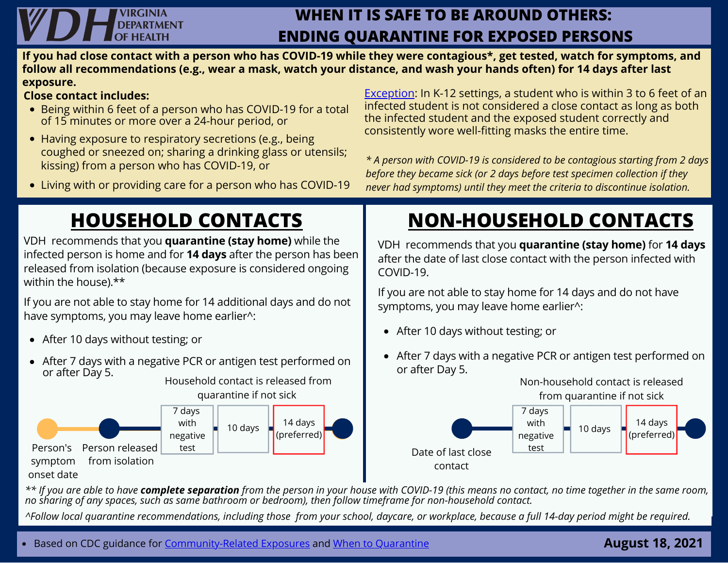## **VIRGINIA DFPARTMENT**

### **WHEN IT IS SAFE TO BE AROUND OTHERS: ENDING QUARANTINE FOR EXPOSED PERSONS**

**If you had close contact with a person who has COVID-19 while they were contagious\*, get tested, watch for symptoms, and follow all recommendations (e.g., wear a mask, watch your distance, and wash your hands often) for 14 days after last exposure.**

#### **Close contact includes:**

- Being within 6 feet of a person who has COVID-19 for a total of 15 minutes or more over a 24-hour period, or
- Having exposure to respiratory secretions (e.g., being coughed or sneezed on; sharing a drinking glass or utensils; kissing) from a person who has COVID-19, or
- Living with or providing care for a person who has COVID-19

# **HOUSEHOLD CONTACTS**

VDH recommends that you **quarantine (stay home)** while the infected person is home and for **14 days** after the person has been released from isolation (because exposure is considered ongoing within the house).\*\*

If you are not able to stay home for 14 additional days and do not have symptoms, you may leave home earlier^:

- After 10 days without testing; or
- After 7 days with a negative PCR or antigen test performed on or after Day 5. Household contact is released from

quarantine if not sick



[Exception](https://www.vdh.virginia.gov/coronavirus/local-exposure/#close-contact): In K-12 settings, a student who is within 3 to 6 feet of an infected student is not considered a close contact as long as both the infected student and the exposed student correctly and consistently wore well-fitting masks the entire time.

*\* A person with COVID-19 is considered to be contagious starting from 2 days before they became sick (or 2 days before test specimen collection if they never had symptoms) until they meet the criteria to discontinue isolation.*

# **NON-HOUSEHOLD CONTACTS**

VDH recommends that you **quarantine (stay home)** for **14 days** after the date of last close contact with the person infected with COVID-19.

If you are not able to stay home for 14 days and do not have symptoms, you may leave home earlier^:

- After 10 days without testing; or
- After 7 days with a negative PCR or antigen test performed on or after Day 5.



\*\* If you are able to have **complete separation** from the person in your house with COVID-19 (this means no contact, no time together in the same room, no sharing of any spaces, such as same bathroom or bedroom), then follow timeframe for non-household contact.

^Follow local quarantine recommendations, including those from your school, daycare, or workplace, because a full 14-day period might be required.